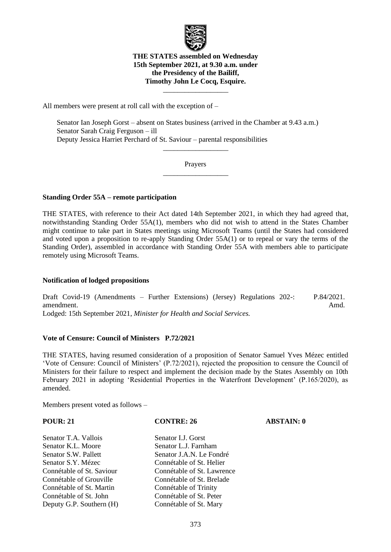

### **THE STATES assembled on Wednesday 15th September 2021, at 9.30 a.m. under the Presidency of the Bailiff, Timothy John Le Cocq, Esquire.**

 $\overline{\phantom{a}}$  , where  $\overline{\phantom{a}}$ 

All members were present at roll call with the exception of –

Senator Ian Joseph Gorst – absent on States business (arrived in the Chamber at 9.43 a.m.) Senator Sarah Craig Ferguson – ill Deputy Jessica Harriet Perchard of St. Saviour – parental responsibilities

> Prayers  $\overline{\phantom{a}}$  , where  $\overline{\phantom{a}}$

> $\overline{\phantom{a}}$  , where  $\overline{\phantom{a}}$

### **Standing Order 55A – remote participation**

THE STATES, with reference to their Act dated 14th September 2021, in which they had agreed that, notwithstanding Standing Order 55A(1), members who did not wish to attend in the States Chamber might continue to take part in States meetings using Microsoft Teams (until the States had considered and voted upon a proposition to re-apply Standing Order 55A(1) or to repeal or vary the terms of the Standing Order), assembled in accordance with Standing Order 55A with members able to participate remotely using Microsoft Teams.

## **Notification of lodged propositions**

Draft Covid-19 (Amendments – Further Extensions) (Jersey) Regulations 202-: amendment. P.84/2021. Amd.

Lodged: 15th September 2021, *Minister for Health and Social Services.*

### **Vote of Censure: Council of Ministers P.72/2021**

THE STATES, having resumed consideration of a proposition of Senator Samuel Yves Mézec entitled 'Vote of Censure: Council of Ministers' (P.72/2021), rejected the proposition to censure the Council of Ministers for their failure to respect and implement the decision made by the States Assembly on 10th February 2021 in adopting 'Residential Properties in the Waterfront Development' (P.165/2020), as amended.

Members present voted as follows –

**POUR: 21 CONTRE: 26 ABSTAIN: 0**

Senator T.A. Vallois Senator I.J. Gorst Senator K.L. Moore Senator L.J. Farnham Senator S.W. Pallett Senator J.A.N. Le Fondré Senator S.Y. Mézec Connétable of St. Helier Connétable of Grouville Connétable of St. Brelade Connétable of St. Martin Connétable of Trinity Connétable of St. John Connétable of St. Peter Deputy G.P. Southern (H) Connétable of St. Mary

Connétable of St. Saviour Connétable of St. Lawrence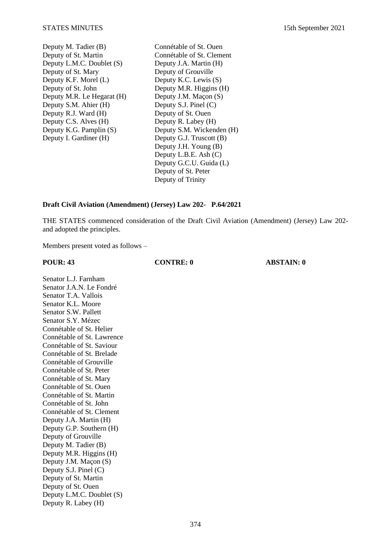- Deputy M. Tadier (B) Connétable of St. Ouen<br>Deputy of St. Martin Connétable of St. Cleme Deputy L.M.C. Doublet  $(S)$ Deputy of St. Mary Deputy of Grouville Deputy K.F. Morel (L) Deputy K.C. Lewis (S) Deputy of St. John Deputy M.R. Higgins (H)<br>Deputy M.R. Le Hegarat (H) Deputy J.M. Maçon (S) Deputy M.R. Le Hegarat (H) Deputy J.M. Maçon (Spendix S.M. Ahier (H) Deputy S.J. Pinel (C) Deputy S.M. Ahier (H) Deputy S.J. Pinel (C<br>Deputy R.J. Ward (H) Deputy of St. Ouen Deputy R.J. Ward  $(H)$ Deputy C.S. Alves (H) Deputy R. Labey (H) Deputy I. Gardiner (H) Deputy G.J. Truscott (B)
- Connétable of St. Clement<br>Deputy J.A. Martin (H) Deputy K.G. Pamplin (S) Deputy S.M. Wickenden (H) Deputy J.H. Young (B) Deputy L.B.E. Ash (C) Deputy G.C.U. Guida (L) Deputy of St. Peter Deputy of Trinity

### **Draft Civil Aviation (Amendment) (Jersey) Law 202- P.64/2021**

THE STATES commenced consideration of the Draft Civil Aviation (Amendment) (Jersey) Law 202 and adopted the principles.

Members present voted as follows –

### **POUR: 43 CONTRE: 0 ABSTAIN: 0**

Senator L.J. Farnham Senator J.A.N. Le Fondré Senator T.A. Vallois Senator K.L. Moore Senator S.W. Pallett Senator S.Y. Mézec Connétable of St. Helier Connétable of St. Lawrence Connétable of St. Saviour Connétable of St. Brelade Connétable of Grouville Connétable of St. Peter Connétable of St. Mary Connétable of St. Ouen Connétable of St. Martin Connétable of St. John Connétable of St. Clement Deputy J.A. Martin (H) Deputy G.P. Southern (H) Deputy of Grouville Deputy M. Tadier (B) Deputy M.R. Higgins (H) Deputy J.M. Maçon (S) Deputy S.J. Pinel (C) Deputy of St. Martin Deputy of St. Ouen Deputy L.M.C. Doublet (S) Deputy R. Labey (H)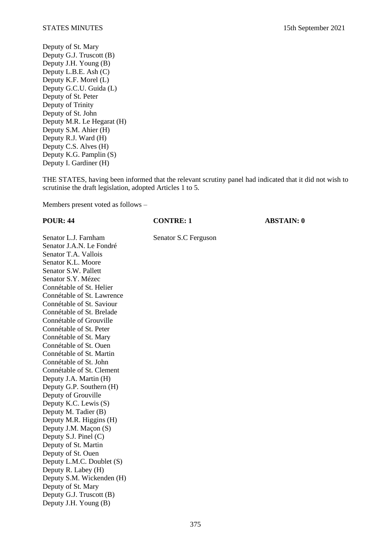Deputy of St. Mary Deputy G.J. Truscott (B) Deputy J.H. Young (B) Deputy L.B.E. Ash (C) Deputy K.F. Morel (L) Deputy G.C.U. Guida (L) Deputy of St. Peter Deputy of Trinity Deputy of St. John Deputy M.R. Le Hegarat (H) Deputy S.M. Ahier (H) Deputy R.J. Ward (H) Deputy C.S. Alves (H) Deputy K.G. Pamplin (S) Deputy I. Gardiner (H)

THE STATES, having been informed that the relevant scrutiny panel had indicated that it did not wish to scrutinise the draft legislation, adopted Articles 1 to 5.

Members present voted as follows –

**POUR: 44 CONTRE: 1 ABSTAIN: 0**

Senator L.J. Farnham Senator S.C Ferguson Senator J.A.N. Le Fondré Senator T.A. Vallois Senator K.L. Moore Senator S.W. Pallett Senator S.Y. Mézec Connétable of St. Helier Connétable of St. Lawrence Connétable of St. Saviour Connétable of St. Brelade Connétable of Grouville Connétable of St. Peter Connétable of St. Mary Connétable of St. Ouen Connétable of St. Martin Connétable of St. John Connétable of St. Clement Deputy J.A. Martin (H) Deputy G.P. Southern (H) Deputy of Grouville Deputy K.C. Lewis (S) Deputy M. Tadier (B) Deputy M.R. Higgins (H) Deputy J.M. Maçon (S) Deputy S.J. Pinel (C) Deputy of St. Martin Deputy of St. Ouen Deputy L.M.C. Doublet (S) Deputy R. Labey (H) Deputy S.M. Wickenden (H) Deputy of St. Mary Deputy G.J. Truscott (B) Deputy J.H. Young (B)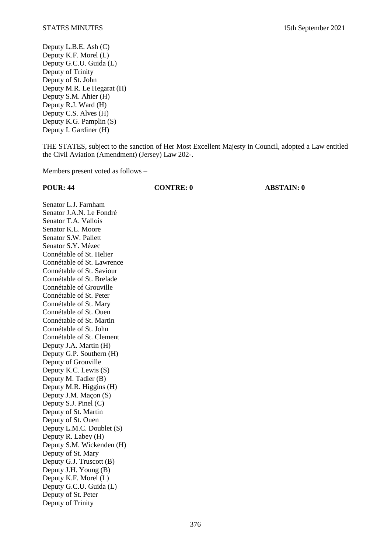Deputy L.B.E. Ash (C) Deputy K.F. Morel (L) Deputy G.C.U. Guida (L) Deputy of Trinity Deputy of St. John Deputy M.R. Le Hegarat (H) Deputy S.M. Ahier (H) Deputy R.J. Ward (H) Deputy C.S. Alves (H) Deputy K.G. Pamplin (S) Deputy I. Gardiner (H)

THE STATES, subject to the sanction of Her Most Excellent Majesty in Council, adopted a Law entitled the Civil Aviation (Amendment) (Jersey) Law 202-.

Members present voted as follows –

**POUR: 44 CONTRE: 0 ABSTAIN: 0**

Senator L.J. Farnham Senator J.A.N. Le Fondré Senator T.A. Vallois Senator K.L. Moore Senator S.W. Pallett Senator S.Y. Mézec Connétable of St. Helier Connétable of St. Lawrence Connétable of St. Saviour Connétable of St. Brelade Connétable of Grouville Connétable of St. Peter Connétable of St. Mary Connétable of St. Ouen Connétable of St. Martin Connétable of St. John Connétable of St. Clement Deputy J.A. Martin (H) Deputy G.P. Southern (H) Deputy of Grouville Deputy K.C. Lewis (S) Deputy M. Tadier (B) Deputy M.R. Higgins (H) Deputy J.M. Maçon (S) Deputy S.J. Pinel (C) Deputy of St. Martin Deputy of St. Ouen Deputy L.M.C. Doublet (S) Deputy R. Labey (H) Deputy S.M. Wickenden (H) Deputy of St. Mary Deputy G.J. Truscott (B) Deputy J.H. Young (B) Deputy K.F. Morel (L) Deputy G.C.U. Guida (L) Deputy of St. Peter Deputy of Trinity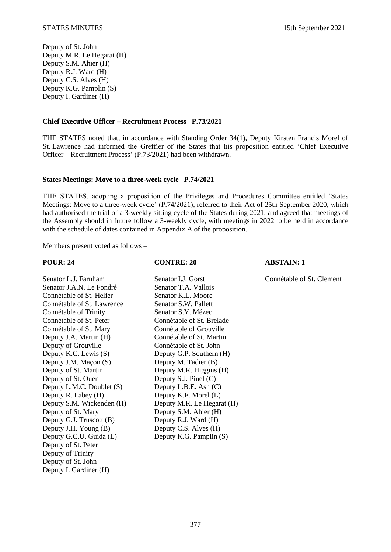Deputy of St. John Deputy M.R. Le Hegarat (H) Deputy S.M. Ahier (H) Deputy R.J. Ward (H) Deputy C.S. Alves (H) Deputy K.G. Pamplin (S) Deputy I. Gardiner (H)

### **Chief Executive Officer – Recruitment Process P.73/2021**

THE STATES noted that, in accordance with Standing Order 34(1), Deputy Kirsten Francis Morel of St. Lawrence had informed the Greffier of the States that his proposition entitled 'Chief Executive Officer – Recruitment Process' (P.73/2021) had been withdrawn.

### **States Meetings: Move to a three-week cycle P.74/2021**

THE STATES, adopting a proposition of the Privileges and Procedures Committee entitled 'States Meetings: Move to a three-week cycle' (P.74/2021), referred to their Act of 25th September 2020, which had authorised the trial of a 3-weekly sitting cycle of the States during 2021, and agreed that meetings of the Assembly should in future follow a 3-weekly cycle, with meetings in 2022 to be held in accordance with the schedule of dates contained in Appendix A of the proposition.

Members present voted as follows –

## **POUR: 24 CONTRE: 20 ABSTAIN: 1**

Senator L.J. Farnham Senator I.J. Gorst Connétable of St. Clement

| Senator J.A.N. Le Fondré   |
|----------------------------|
| Connétable of St. Helier   |
| Connétable of St. Lawrence |
| Connétable of Trinity      |
| Connétable of St. Peter    |
| Connétable of St. Mary     |
| Deputy J.A. Martin (H)     |
| Deputy of Grouville        |
| Deputy K.C. Lewis (S)      |
| Deputy J.M. Maçon (S)      |
| Deputy of St. Martin       |
| Deputy of St. Ouen         |
| Deputy L.M.C. Doublet (S)  |
| Deputy R. Labey (H)        |
| Deputy S.M. Wickenden (H)  |
| Deputy of St. Mary         |
| Deputy G.J. Truscott (B)   |
| Deputy J.H. Young (B)      |
| Deputy G.C.U. Guida (L)    |
| Deputy of St. Peter        |
| Deputy of Trinity          |
| Deputy of St. John         |
| Deputy I. Gardiner (H)     |
|                            |

Senator T.A. Vallois Senator K.L. Moore Senator S.W. Pallett Senator S.Y. Mézec Connétable of St. Brelade Connétable of Grouville Connétable of St. Martin Connétable of St. John Deputy G.P. Southern (H) Deputy M. Tadier (B) Deputy M.R. Higgins  $(H)$ Deputy S.J. Pinel  $(C)$ Deputy L.B.E. Ash  $(C)$ Deputy K.F. Morel  $(L)$ Deputy M.R. Le Hegarat (H) Deputy S.M. Ahier (H) Deputy R.J. Ward  $(H)$ Deputy C.S. Alves (H) Deputy K.G. Pamplin  $(S)$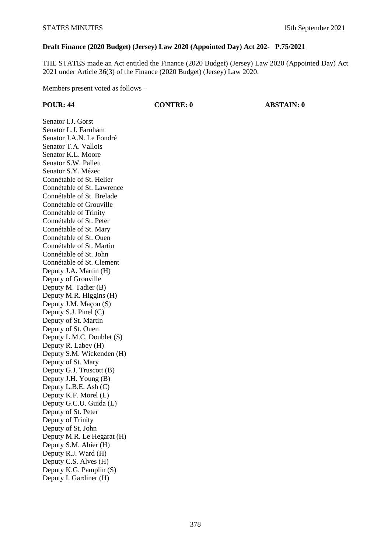## **Draft Finance (2020 Budget) (Jersey) Law 2020 (Appointed Day) Act 202- P.75/2021**

THE STATES made an Act entitled the Finance (2020 Budget) (Jersey) Law 2020 (Appointed Day) Act 2021 under Article 36(3) of the Finance (2020 Budget) (Jersey) Law 2020.

Members present voted as follows –

**POUR: 44 CONTRE: 0 ABSTAIN: 0**

Senator I.J. Gorst Senator L.J. Farnham Senator J.A.N. Le Fondré Senator T.A. Vallois Senator K.L. Moore Senator S.W. Pallett Senator S.Y. Mézec Connétable of St. Helier Connétable of St. Lawrence Connétable of St. Brelade Connétable of Grouville Connétable of Trinity Connétable of St. Peter Connétable of St. Mary Connétable of St. Ouen Connétable of St. Martin Connétable of St. John Connétable of St. Clement Deputy J.A. Martin (H) Deputy of Grouville Deputy M. Tadier (B) Deputy M.R. Higgins (H) Deputy J.M. Maçon (S) Deputy S.J. Pinel (C) Deputy of St. Martin Deputy of St. Ouen Deputy L.M.C. Doublet (S) Deputy R. Labey (H) Deputy S.M. Wickenden (H) Deputy of St. Mary Deputy G.J. Truscott (B) Deputy J.H. Young (B) Deputy L.B.E. Ash (C) Deputy K.F. Morel (L) Deputy G.C.U. Guida (L) Deputy of St. Peter Deputy of Trinity Deputy of St. John Deputy M.R. Le Hegarat (H) Deputy S.M. Ahier (H) Deputy R.J. Ward (H) Deputy C.S. Alves (H) Deputy K.G. Pamplin (S) Deputy I. Gardiner (H)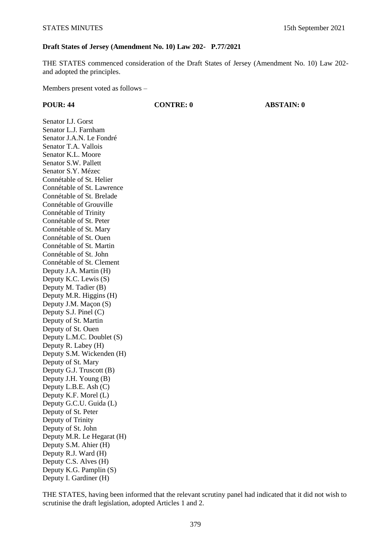## **Draft States of Jersey (Amendment No. 10) Law 202- P.77/2021**

THE STATES commenced consideration of the Draft States of Jersey (Amendment No. 10) Law 202 and adopted the principles.

Members present voted as follows –

**POUR: 44 CONTRE: 0 ABSTAIN: 0**

Senator I.J. Gorst Senator L.J. Farnham Senator J.A.N. Le Fondré Senator T.A. Vallois Senator K.L. Moore Senator S.W. Pallett Senator S.Y. Mézec Connétable of St. Helier Connétable of St. Lawrence Connétable of St. Brelade Connétable of Grouville Connétable of Trinity Connétable of St. Peter Connétable of St. Mary Connétable of St. Ouen Connétable of St. Martin Connétable of St. John Connétable of St. Clement Deputy J.A. Martin (H) Deputy K.C. Lewis (S) Deputy M. Tadier (B) Deputy M.R. Higgins (H) Deputy J.M. Maçon (S) Deputy S.J. Pinel (C) Deputy of St. Martin Deputy of St. Ouen Deputy L.M.C. Doublet (S) Deputy R. Labey (H) Deputy S.M. Wickenden (H) Deputy of St. Mary Deputy G.J. Truscott (B) Deputy J.H. Young (B) Deputy L.B.E. Ash (C) Deputy K.F. Morel (L) Deputy G.C.U. Guida (L) Deputy of St. Peter Deputy of Trinity Deputy of St. John Deputy M.R. Le Hegarat (H) Deputy S.M. Ahier (H) Deputy R.J. Ward (H) Deputy C.S. Alves (H) Deputy K.G. Pamplin (S) Deputy I. Gardiner (H)

THE STATES, having been informed that the relevant scrutiny panel had indicated that it did not wish to scrutinise the draft legislation, adopted Articles 1 and 2.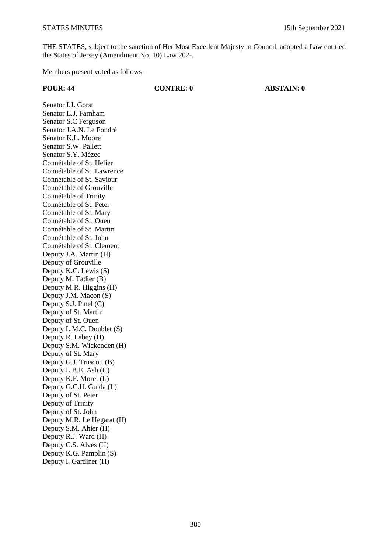THE STATES, subject to the sanction of Her Most Excellent Majesty in Council, adopted a Law entitled the States of Jersey (Amendment No. 10) Law 202-.

Members present voted as follows –

# **POUR: 44 CONTRE: 0 ABSTAIN: 0** Senator I.J. Gorst Senator L.J. Farnham Senator S.C Ferguson Senator J.A.N. Le Fondré Senator K.L. Moore Senator S.W. Pallett Senator S.Y. Mézec Connétable of St. Helier Connétable of St. Lawrence Connétable of St. Saviour Connétable of Grouville

Connétable of Trinity Connétable of St. Peter Connétable of St. Mary Connétable of St. Ouen Connétable of St. Martin Connétable of St. John Connétable of St. Clement Deputy J.A. Martin (H) Deputy of Grouville Deputy K.C. Lewis (S) Deputy M. Tadier (B) Deputy M.R. Higgins (H) Deputy J.M. Maçon (S) Deputy S.J. Pinel (C) Deputy of St. Martin Deputy of St. Ouen Deputy L.M.C. Doublet (S) Deputy R. Labey (H) Deputy S.M. Wickenden (H) Deputy of St. Mary Deputy G.J. Truscott (B) Deputy L.B.E. Ash (C) Deputy K.F. Morel (L) Deputy G.C.U. Guida (L) Deputy of St. Peter Deputy of Trinity Deputy of St. John Deputy M.R. Le Hegarat (H) Deputy S.M. Ahier (H) Deputy R.J. Ward (H) Deputy C.S. Alves (H) Deputy K.G. Pamplin (S) Deputy I. Gardiner (H)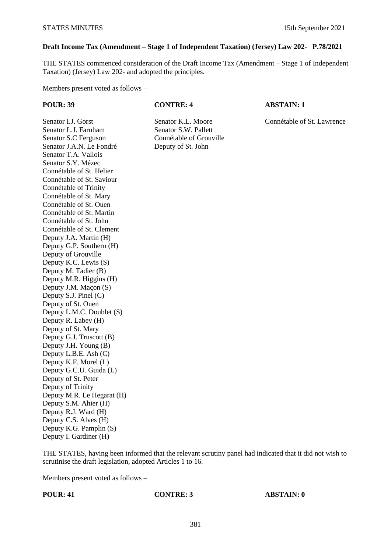## **Draft Income Tax (Amendment – Stage 1 of Independent Taxation) (Jersey) Law 202- P.78/2021**

THE STATES commenced consideration of the Draft Income Tax (Amendment – Stage 1 of Independent Taxation) (Jersey) Law 202- and adopted the principles.

Members present voted as follows –

**POUR: 39 CONTRE: 4 ABSTAIN: 1**

Senator I.J. Gorst Senator K.L. Moore Connétable of St. Lawrence

Senator L.J. Farnham Senator S.W. Pallett Senator S.C Ferguson Connétable of Grouville Senator J.A.N. Le Fondré Deputy of St. John Senator T.A. Vallois Senator S.Y. Mézec Connétable of St. Helier Connétable of St. Saviour Connétable of Trinity Connétable of St. Mary Connétable of St. Ouen Connétable of St. Martin Connétable of St. John Connétable of St. Clement Deputy J.A. Martin (H) Deputy G.P. Southern (H) Deputy of Grouville Deputy K.C. Lewis (S) Deputy M. Tadier (B) Deputy M.R. Higgins (H) Deputy J.M. Maçon (S) Deputy S.J. Pinel (C) Deputy of St. Ouen Deputy L.M.C. Doublet (S) Deputy R. Labey (H) Deputy of St. Mary Deputy G.J. Truscott (B) Deputy J.H. Young (B) Deputy L.B.E. Ash (C) Deputy K.F. Morel (L) Deputy G.C.U. Guida (L) Deputy of St. Peter Deputy of Trinity Deputy M.R. Le Hegarat (H) Deputy S.M. Ahier (H) Deputy R.J. Ward (H) Deputy C.S. Alves (H) Deputy K.G. Pamplin (S) Deputy I. Gardiner (H)

THE STATES, having been informed that the relevant scrutiny panel had indicated that it did not wish to scrutinise the draft legislation, adopted Articles 1 to 16.

Members present voted as follows –

**POUR: 41 CONTRE: 3 ABSTAIN: 0**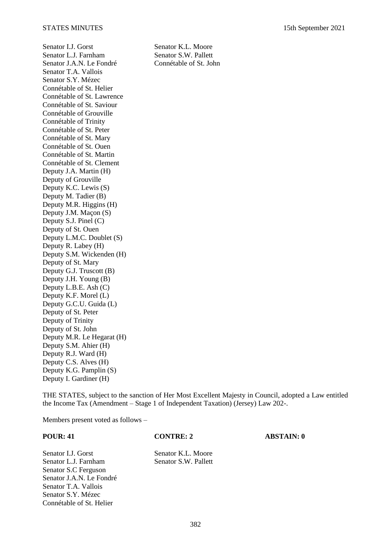Senator I.J. Gorst<br>
Senator K.L. Moore<br>
Senator S.W. Pallett Senator L.J. Farnham Senator S.W. Pallett<br>Senator J.A.N. Le Fondré Connétable of St. John Senator J.A.N. Le Fondré Senator T.A. Vallois Senator S.Y. Mézec Connétable of St. Helier Connétable of St. Lawrence Connétable of St. Saviour Connétable of Grouville Connétable of Trinity Connétable of St. Peter Connétable of St. Mary Connétable of St. Ouen Connétable of St. Martin Connétable of St. Clement Deputy J.A. Martin (H) Deputy of Grouville Deputy K.C. Lewis (S) Deputy M. Tadier (B) Deputy M.R. Higgins (H) Deputy J.M. Maçon (S) Deputy S.J. Pinel (C) Deputy of St. Ouen Deputy L.M.C. Doublet (S) Deputy R. Labey (H) Deputy S.M. Wickenden (H) Deputy of St. Mary Deputy G.J. Truscott (B) Deputy J.H. Young (B) Deputy L.B.E. Ash (C) Deputy K.F. Morel (L) Deputy G.C.U. Guida (L) Deputy of St. Peter Deputy of Trinity Deputy of St. John Deputy M.R. Le Hegarat (H) Deputy S.M. Ahier (H) Deputy R.J. Ward (H) Deputy C.S. Alves (H) Deputy K.G. Pamplin (S) Deputy I. Gardiner (H)

THE STATES, subject to the sanction of Her Most Excellent Majesty in Council, adopted a Law entitled the Income Tax (Amendment – Stage 1 of Independent Taxation) (Jersey) Law 202-.

Members present voted as follows –

### **POUR: 41 CONTRE: 2 ABSTAIN: 0**

Senator I.J. Gorst Senator K.L. Moore Senator L.J. Farnham Senator S.W. Pallett Senator S.C Ferguson Senator J.A.N. Le Fondré Senator T.A. Vallois Senator S.Y. Mézec Connétable of St. Helier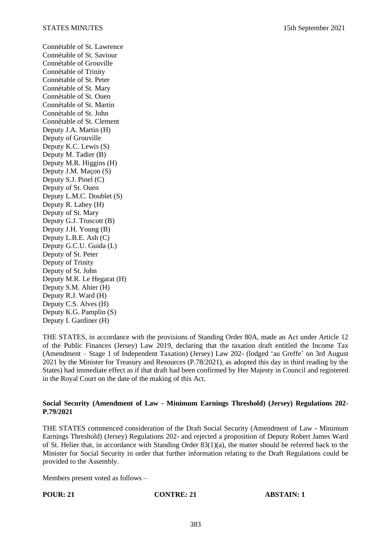Connétable of St. Lawrence Connétable of St. Saviour Connétable of Grouville Connétable of Trinity Connétable of St. Peter Connétable of St. Mary Connétable of St. Ouen Connétable of St. Martin Connétable of St. John Connétable of St. Clement Deputy J.A. Martin (H) Deputy of Grouville Deputy K.C. Lewis (S) Deputy M. Tadier (B) Deputy M.R. Higgins (H) Deputy J.M. Maçon (S) Deputy S.J. Pinel (C) Deputy of St. Ouen Deputy L.M.C. Doublet (S) Deputy R. Labey (H) Deputy of St. Mary Deputy G.J. Truscott (B) Deputy J.H. Young (B) Deputy L.B.E. Ash (C) Deputy G.C.U. Guida (L) Deputy of St. Peter Deputy of Trinity Deputy of St. John Deputy M.R. Le Hegarat (H) Deputy S.M. Ahier (H) Deputy R.J. Ward (H) Deputy C.S. Alves (H) Deputy K.G. Pamplin (S) Deputy I. Gardiner (H)

THE STATES, in accordance with the provisions of Standing Order 80A, made an Act under Article 12 of the Public Finances (Jersey) Law 2019, declaring that the taxation draft entitled the Income Tax (Amendment – Stage 1 of Independent Taxation) (Jersey) Law 202- (lodged 'au Greffe' on 3rd August 2021 by the Minister for Treasury and Resources (P.78/2021), as adopted this day in third reading by the States) had immediate effect as if that draft had been confirmed by Her Majesty in Council and registered in the Royal Court on the date of the making of this Act.

### **Social Security (Amendment of Law - Minimum Earnings Threshold) (Jersey) Regulations 202- P.79/2021**

THE STATES commenced consideration of the Draft Social Security (Amendment of Law - Minimum Earnings Threshold) (Jersey) Regulations 202- and rejected a proposition of Deputy Robert James Ward of St. Helier that, in accordance with Standing Order 83(1)(a), the matter should be referred back to the Minister for Social Security in order that further information relating to the Draft Regulations could be provided to the Assembly.

Members present voted as follows –

**POUR: 21 CONTRE: 21 ABSTAIN: 1**